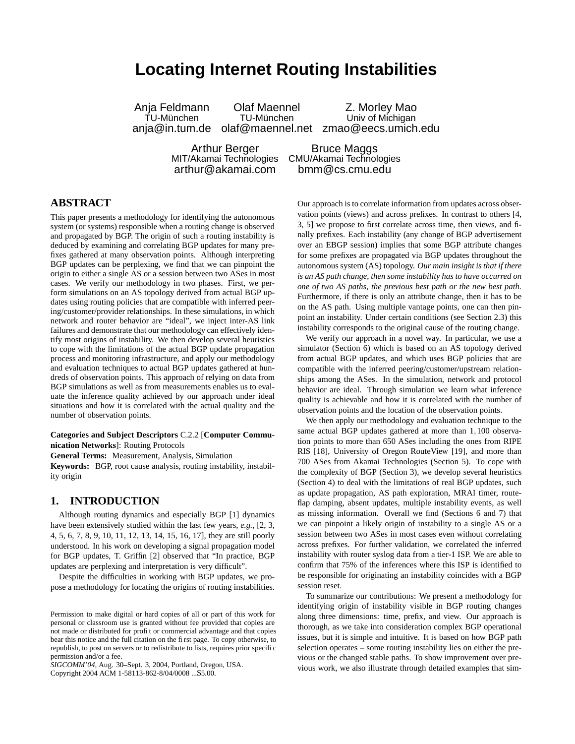# **Locating Internet Routing Instabilities**

Anja Feldmann Olaf Maennel Z. Morley Mao<br>TU-München TU-München Univ of Michigan anja@in.tum.de olaf@maennel.net zmao@eecs.umich.edu

Univ of Michigan

Arthur Berger Bruce Maggs<br>MIT/Akamai Technologies CMU/Akamai Technol

MIT/Akamai Technologies CMU/Akamai Technologies arthur@akamai.com bmm@cs.cmu.edu

# **ABSTRACT**

This paper presents a methodology for identifying the autonomous system (or systems) responsible when a routing change is observed and propagated by BGP. The origin of such a routing instability is deduced by examining and correlating BGP updates for many prefixes gathered at many observation points. Although interpreting BGP updates can be perplexing, we find that we can pinpoint the origin to either a single AS or a session between two ASes in most cases. We verify our methodology in two phases. First, we perform simulations on an AS topology derived from actual BGP updates using routing policies that are compatible with inferred peering/customer/provider relationships. In these simulations, in which network and router behavior are "ideal", we inject inter-AS link failures and demonstrate that our methodology can effectively identify most origins of instability. We then develop several heuristics to cope with the limitations of the actual BGP update propagation process and monitoring infrastructure, and apply our methodology and evaluation techniques to actual BGP updates gathered at hundreds of observation points. This approach of relying on data from BGP simulations as well as from measurements enables us to evaluate the inference quality achieved by our approach under ideal situations and how it is correlated with the actual quality and the number of observation points.

#### **Categories and Subject Descriptors** C.2.2 [**Computer Communication Networks**]: Routing Protocols

**General Terms:** Measurement, Analysis, Simulation

**Keywords:** BGP, root cause analysis, routing instability, instability origin

## **1. INTRODUCTION**

Although routing dynamics and especially BGP [1] dynamics have been extensively studied within the last few years, *e.g.,* [2, 3, 4, 5, 6, 7, 8, 9, 10, 11, 12, 13, 14, 15, 16, 17], they are still poorly understood. In his work on developing a signal propagation model for BGP updates, T. Griffin [2] observed that "In practice, BGP updates are perplexing and interpretation is very difficult".

Despite the difficulties in working with BGP updates, we propose a methodology for locating the origins of routing instabilities.

*SIGCOMM'04,* Aug. 30–Sept. 3, 2004, Portland, Oregon, USA. Copyright 2004 ACM 1-58113-862-8/04/0008 ...\$5.00.

Our approach is to correlate information from updates across observation points (views) and across prefixes. In contrast to others [4, 3, 5] we propose to first correlate across time, then views, and finally prefixes. Each instability (any change of BGP advertisement over an EBGP session) implies that some BGP attribute changes for some prefixes are propagated via BGP updates throughout the autonomous system (AS) topology. *Our main insight is that if there is an AS path change, then some instability has to have occurred on one of two AS paths, the previous best path or the new best path.* Furthermore, if there is only an attribute change, then it has to be on the AS path. Using multiple vantage points, one can then pinpoint an instability. Under certain conditions (see Section 2.3) this instability corresponds to the original cause of the routing change.

We verify our approach in a novel way. In particular, we use a simulator (Section 6) which is based on an AS topology derived from actual BGP updates, and which uses BGP policies that are compatible with the inferred peering/customer/upstream relationships among the ASes. In the simulation, network and protocol behavior are ideal. Through simulation we learn what inference quality is achievable and how it is correlated with the number of observation points and the location of the observation points.

We then apply our methodology and evaluation technique to the same actual BGP updates gathered at more than 1,100 observation points to more than 650 ASes including the ones from RIPE RIS [18], University of Oregon RouteView [19], and more than 700 ASes from Akamai Technologies (Section 5). To cope with the complexity of BGP (Section 3), we develop several heuristics (Section 4) to deal with the limitations of real BGP updates, such as update propagation, AS path exploration, MRAI timer, routeflap damping, absent updates, multiple instability events, as well as missing information. Overall we find (Sections 6 and 7) that we can pinpoint a likely origin of instability to a single AS or a session between two ASes in most cases even without correlating across prefixes. For further validation, we correlated the inferred instability with router syslog data from a tier-1 ISP. We are able to confirm that 75% of the inferences where this ISP is identified to be responsible for originating an instability coincides with a BGP session reset.

To summarize our contributions: We present a methodology for identifying origin of instability visible in BGP routing changes along three dimensions: time, prefix, and view. Our approach is thorough, as we take into consideration complex BGP operational issues, but it is simple and intuitive. It is based on how BGP path selection operates – some routing instability lies on either the previous or the changed stable paths. To show improvement over previous work, we also illustrate through detailed examples that sim-

Permission to make digital or hard copies of all or part of this work for personal or classroom use is granted without fee provided that copies are not made or distributed for profit or commercial advantage and that copies bear this notice and the full citation on the first page. To copy otherwise, to republish, to post on servers or to redistribute to lists, requires prior specific permission and/or a fee.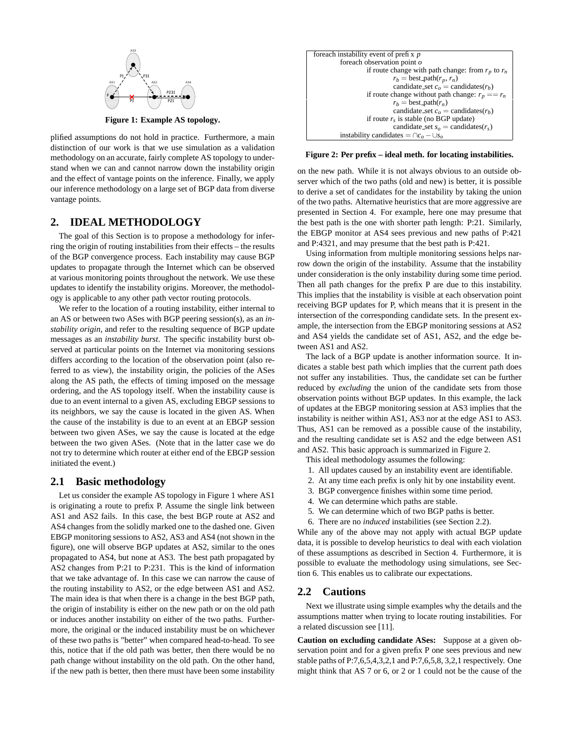

**Figure 1: Example AS topology.**

plified assumptions do not hold in practice. Furthermore, a main distinction of our work is that we use simulation as a validation methodology on an accurate, fairly complete AS topology to understand when we can and cannot narrow down the instability origin and the effect of vantage points on the inference. Finally, we apply our inference methodology on a large set of BGP data from diverse vantage points.

## **2. IDEAL METHODOLOGY**

The goal of this Section is to propose a methodology for inferring the origin of routing instabilities from their effects – the results of the BGP convergence process. Each instability may cause BGP updates to propagate through the Internet which can be observed at various monitoring points throughout the network. We use these updates to identify the instability origins. Moreover, the methodology is applicable to any other path vector routing protocols.

We refer to the location of a routing instability, either internal to an AS or between two ASes with BGP peering session(s), as an *instability origin*, and refer to the resulting sequence of BGP update messages as an *instability burst*. The specific instability burst observed at particular points on the Internet via monitoring sessions differs according to the location of the observation point (also referred to as view), the instability origin, the policies of the ASes along the AS path, the effects of timing imposed on the message ordering, and the AS topology itself. When the instability cause is due to an event internal to a given AS, excluding EBGP sessions to its neighbors, we say the cause is located in the given AS. When the cause of the instability is due to an event at an EBGP session between two given ASes, we say the cause is located at the edge between the two given ASes. (Note that in the latter case we do not try to determine which router at either end of the EBGP session initiated the event.)

#### **2.1 Basic methodology**

Let us consider the example AS topology in Figure 1 where AS1 is originating a route to prefix P. Assume the single link between AS1 and AS2 fails. In this case, the best BGP route at AS2 and AS4 changes from the solidly marked one to the dashed one. Given EBGP monitoring sessions to AS2, AS3 and AS4 (not shown in the figure), one will observe BGP updates at AS2, similar to the ones propagated to AS4, but none at AS3. The best path propagated by AS2 changes from P:21 to P:231. This is the kind of information that we take advantage of. In this case we can narrow the cause of the routing instability to AS2, or the edge between AS1 and AS2. The main idea is that when there is a change in the best BGP path, the origin of instability is either on the new path or on the old path or induces another instability on either of the two paths. Furthermore, the original or the induced instability must be on whichever of these two paths is "better" when compared head-to-head. To see this, notice that if the old path was better, then there would be no path change without instability on the old path. On the other hand, if the new path is better, then there must have been some instability



**Figure 2: Per prefix – ideal meth. for locating instabilities.**

on the new path. While it is not always obvious to an outside observer which of the two paths (old and new) is better, it is possible to derive a set of candidates for the instability by taking the union of the two paths. Alternative heuristics that are more aggressive are presented in Section 4. For example, here one may presume that the best path is the one with shorter path length: P:21. Similarly, the EBGP monitor at AS4 sees previous and new paths of P:421 and P:4321, and may presume that the best path is P:421.

Using information from multiple monitoring sessions helps narrow down the origin of the instability. Assume that the instability under consideration is the only instability during some time period. Then all path changes for the prefix P are due to this instability. This implies that the instability is visible at each observation point receiving BGP updates for P, which means that it is present in the intersection of the corresponding candidate sets. In the present example, the intersection from the EBGP monitoring sessions at AS2 and AS4 yields the candidate set of AS1, AS2, and the edge between AS1 and AS2.

The lack of a BGP update is another information source. It indicates a stable best path which implies that the current path does not suffer any instabilities. Thus, the candidate set can be further reduced by *excluding* the union of the candidate sets from those observation points without BGP updates. In this example, the lack of updates at the EBGP monitoring session at AS3 implies that the instability is neither within AS1, AS3 nor at the edge AS1 to AS3. Thus, AS1 can be removed as a possible cause of the instability, and the resulting candidate set is AS2 and the edge between AS1 and AS2. This basic approach is summarized in Figure 2.

- This ideal methodology assumes the following:
- 1. All updates caused by an instability event are identifiable.
- 2. At any time each prefix is only hit by one instability event.
- 3. BGP convergence finishes within some time period.
- 4. We can determine which paths are stable.
- 5. We can determine which of two BGP paths is better.
- 6. There are no *induced* instabilities (see Section 2.2).

While any of the above may not apply with actual BGP update data, it is possible to develop heuristics to deal with each violation of these assumptions as described in Section 4. Furthermore, it is possible to evaluate the methodology using simulations, see Section 6. This enables us to calibrate our expectations.

## **2.2 Cautions**

Next we illustrate using simple examples why the details and the assumptions matter when trying to locate routing instabilities. For a related discussion see [11].

**Caution on excluding candidate ASes:** Suppose at a given observation point and for a given prefix P one sees previous and new stable paths of P:7,6,5,4,3,2,1 and P:7,6,5,8, 3,2,1 respectively. One might think that AS 7 or 6, or 2 or 1 could not be the cause of the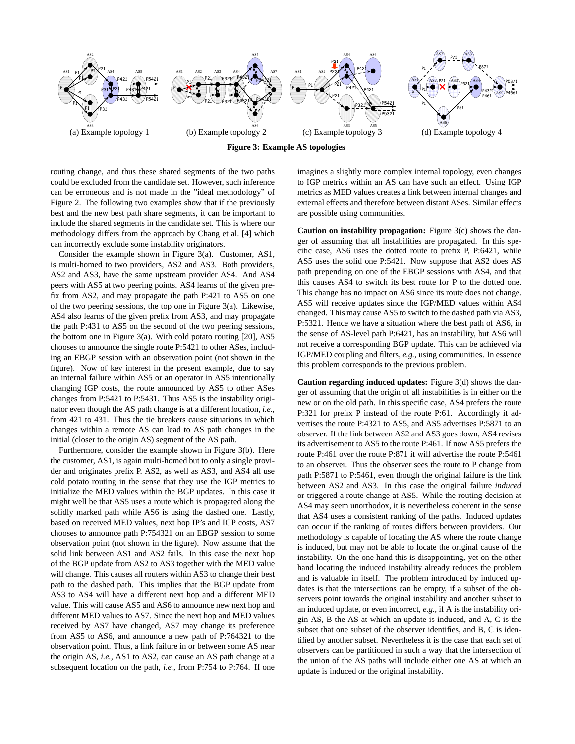

routing change, and thus these shared segments of the two paths could be excluded from the candidate set. However, such inference can be erroneous and is not made in the "ideal methodology" of Figure 2. The following two examples show that if the previously best and the new best path share segments, it can be important to include the shared segments in the candidate set. This is where our methodology differs from the approach by Chang et al. [4] which can incorrectly exclude some instability originators.

Consider the example shown in Figure 3(a). Customer, AS1, is multi-homed to two providers, AS2 and AS3. Both providers, AS2 and AS3, have the same upstream provider AS4. And AS4 peers with AS5 at two peering points. AS4 learns of the given prefix from AS2, and may propagate the path P:421 to AS5 on one of the two peering sessions, the top one in Figure 3(a). Likewise, AS4 also learns of the given prefix from AS3, and may propagate the path P:431 to AS5 on the second of the two peering sessions, the bottom one in Figure 3(a). With cold potato routing [20], AS5 chooses to announce the single route P:5421 to other ASes, including an EBGP session with an observation point (not shown in the figure). Now of key interest in the present example, due to say an internal failure within AS5 or an operator in AS5 intentionally changing IGP costs, the route announced by AS5 to other ASes changes from P:5421 to P:5431. Thus AS5 is the instability originator even though the AS path change is at a different location, *i.e.,* from 421 to 431. Thus the tie breakers cause situations in which changes within a remote AS can lead to AS path changes in the initial (closer to the origin AS) segment of the AS path.

Furthermore, consider the example shown in Figure 3(b). Here the customer, AS1, is again multi-homed but to only a single provider and originates prefix P. AS2, as well as AS3, and AS4 all use cold potato routing in the sense that they use the IGP metrics to initialize the MED values within the BGP updates. In this case it might well be that AS5 uses a route which is propagated along the solidly marked path while AS6 is using the dashed one. Lastly, based on received MED values, next hop IP's and IGP costs, AS7 chooses to announce path P:754321 on an EBGP session to some observation point (not shown in the figure). Now assume that the solid link between AS1 and AS2 fails. In this case the next hop of the BGP update from AS2 to AS3 together with the MED value will change. This causes all routers within AS3 to change their best path to the dashed path. This implies that the BGP update from AS3 to AS4 will have a different next hop and a different MED value. This will cause AS5 and AS6 to announce new next hop and different MED values to AS7. Since the next hop and MED values received by AS7 have changed, AS7 may change its preference from AS5 to AS6, and announce a new path of P:764321 to the observation point. Thus, a link failure in or between some AS near the origin AS, *i.e.,* AS1 to AS2, can cause an AS path change at a subsequent location on the path, *i.e.,* from P:754 to P:764. If one

imagines a slightly more complex internal topology, even changes to IGP metrics within an AS can have such an effect. Using IGP metrics as MED values creates a link between internal changes and external effects and therefore between distant ASes. Similar effects are possible using communities.

**Caution on instability propagation:** Figure 3(c) shows the danger of assuming that all instabilities are propagated. In this specific case, AS6 uses the dotted route to prefix P, P:6421, while AS5 uses the solid one P:5421. Now suppose that AS2 does AS path prepending on one of the EBGP sessions with AS4, and that this causes AS4 to switch its best route for P to the dotted one. This change has no impact on AS6 since its route does not change. AS5 will receive updates since the IGP/MED values within AS4 changed. This may cause AS5 to switch to the dashed path via AS3, P:5321. Hence we have a situation where the best path of AS6, in the sense of AS-level path P:6421, has an instability, but AS6 will not receive a corresponding BGP update. This can be achieved via IGP/MED coupling and filters, *e.g.,* using communities. In essence this problem corresponds to the previous problem.

**Caution regarding induced updates:** Figure 3(d) shows the danger of assuming that the origin of all instabilities is in either on the new or on the old path. In this specific case, AS4 prefers the route P:321 for prefix P instead of the route P:61. Accordingly it advertises the route P:4321 to AS5, and AS5 advertises P:5871 to an observer. If the link between AS2 and AS3 goes down, AS4 revises its advertisement to AS5 to the route P:461. If now AS5 prefers the route P:461 over the route P:871 it will advertise the route P:5461 to an observer. Thus the observer sees the route to P change from path P:5871 to P:5461, even though the original failure is the link between AS2 and AS3. In this case the original failure *induced* or triggered a route change at AS5. While the routing decision at AS4 may seem unorthodox, it is nevertheless coherent in the sense that AS4 uses a consistent ranking of the paths. Induced updates can occur if the ranking of routes differs between providers. Our methodology is capable of locating the AS where the route change is induced, but may not be able to locate the original cause of the instability. On the one hand this is disappointing, yet on the other hand locating the induced instability already reduces the problem and is valuable in itself. The problem introduced by induced updates is that the intersections can be empty, if a subset of the observers point towards the original instability and another subset to an induced update, or even incorrect, *e.g.,* if A is the instability origin AS, B the AS at which an update is induced, and A, C is the subset that one subset of the observer identifies, and B, C is identified by another subset. Nevertheless it is the case that each set of observers can be partitioned in such a way that the intersection of the union of the AS paths will include either one AS at which an update is induced or the original instability.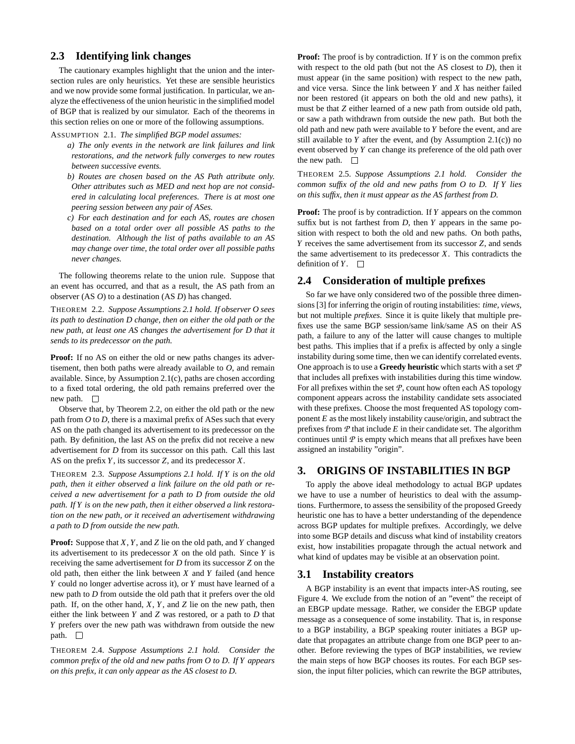# **2.3 Identifying link changes**

The cautionary examples highlight that the union and the intersection rules are only heuristics. Yet these are sensible heuristics and we now provide some formal justification. In particular, we analyze the effectiveness of the union heuristic in the simplified model of BGP that is realized by our simulator. Each of the theorems in this section relies on one or more of the following assumptions.

ASSUMPTION 2.1. *The simplified BGP model assumes:*

- *a) The only events in the network are link failures and link restorations, and the network fully converges to new routes between successive events.*
- *b) Routes are chosen based on the AS Path attribute only. Other attributes such as MED and next hop are not considered in calculating local preferences. There is at most one peering session between any pair of ASes.*
- *c) For each destination and for each AS, routes are chosen based on a total order over all possible AS paths to the destination. Although the list of paths available to an AS may change over time, the total order over all possible paths never changes.*

The following theorems relate to the union rule. Suppose that an event has occurred, and that as a result, the AS path from an observer (AS *O*) to a destination (AS *D*) has changed.

THEOREM 2.2. *Suppose Assumptions 2.1 hold. If observer O sees its path to destination D change, then on either the old path or the new path, at least one AS changes the advertisement for D that it sends to its predecessor on the path.*

**Proof:** If no AS on either the old or new paths changes its advertisement, then both paths were already available to *O*, and remain available. Since, by Assumption 2.1(c), paths are chosen according to a fixed total ordering, the old path remains preferred over the new path.  $\square$ 

Observe that, by Theorem 2.2, on either the old path or the new path from  $O$  to  $D$ , there is a maximal prefix of ASes such that every AS on the path changed its advertisement to its predecessor on the path. By definition, the last AS on the prefix did not receive a new advertisement for *D* from its successor on this path. Call this last AS on the prefix *Y*, its successor *Z*, and its predecessor *X*.

THEOREM 2.3. *Suppose Assumptions 2.1 hold. If Y is on the old path, then it either observed a link failure on the old path or received a new advertisement for a path to D from outside the old path. If Y is on the new path, then it either observed a link restoration on the new path, or it received an advertisement withdrawing a path to D from outside the new path.*

**Proof:** Suppose that *X*, *Y*, and *Z* lie on the old path, and *Y* changed its advertisement to its predecessor *X* on the old path. Since *Y* is receiving the same advertisement for *D* from its successor *Z* on the old path, then either the link between *X* and *Y* failed (and hence *Y* could no longer advertise across it), or *Y* must have learned of a new path to *D* from outside the old path that it prefers over the old path. If, on the other hand, *X*, *Y*, and *Z* lie on the new path, then either the link between *Y* and *Z* was restored, or a path to *D* that *Y* prefers over the new path was withdrawn from outside the new path.  $\square$ 

THEOREM 2.4. *Suppose Assumptions 2.1 hold. Consider the common prefix of the old and new paths from O to D. If Y appears on this prefix, it can only appear as the AS closest to D.*

**Proof:** The proof is by contradiction. If *Y* is on the common prefix with respect to the old path (but not the AS closest to *D*), then it must appear (in the same position) with respect to the new path, and vice versa. Since the link between *Y* and *X* has neither failed nor been restored (it appears on both the old and new paths), it must be that *Z* either learned of a new path from outside old path, or saw a path withdrawn from outside the new path. But both the old path and new path were available to *Y* before the event, and are still available to *Y* after the event, and (by Assumption 2.1(c)) no event observed by *Y* can change its preference of the old path over the new path.  $\square$ 

THEOREM 2.5. *Suppose Assumptions 2.1 hold. Consider the common suffix of the old and new paths from O to D. If Y lies on this suffix, then it must appear as the AS farthest from D.*

**Proof:** The proof is by contradiction. If *Y* appears on the common suffix but is not farthest from *D*, then *Y* appears in the same position with respect to both the old and new paths. On both paths, *Y* receives the same advertisement from its successor *Z*, and sends the same advertisement to its predecessor *X*. This contradicts the definition of  $Y$ .  $\Box$ 

## **2.4 Consideration of multiple prefixes**

So far we have only considered two of the possible three dimensions [3] for inferring the origin of routing instabilities: *time, views,* but not multiple *prefixes*. Since it is quite likely that multiple prefixes use the same BGP session/same link/same AS on their AS path, a failure to any of the latter will cause changes to multiple best paths. This implies that if a prefix is affected by only a single instability during some time, then we can identify correlated events. One approach is to use a **Greedy heuristic** which starts with a set *P* that includes all prefixes with instabilities during this time window. For all prefixes within the set *P*, count how often each AS topology component appears across the instability candidate sets associated with these prefixes. Choose the most frequented AS topology component *E* as the most likely instability cause/origin, and subtract the prefixes from  $P$  that include  $E$  in their candidate set. The algorithm continues until  $P$  is empty which means that all prefixes have been assigned an instability "origin".

# **3. ORIGINS OF INSTABILITIES IN BGP**

To apply the above ideal methodology to actual BGP updates we have to use a number of heuristics to deal with the assumptions. Furthermore, to assess the sensibility of the proposed Greedy heuristic one has to have a better understanding of the dependence across BGP updates for multiple prefixes. Accordingly, we delve into some BGP details and discuss what kind of instability creators exist, how instabilities propagate through the actual network and what kind of updates may be visible at an observation point.

## **3.1 Instability creators**

A BGP instability is an event that impacts inter-AS routing, see Figure 4. We exclude from the notion of an "event" the receipt of an EBGP update message. Rather, we consider the EBGP update message as a consequence of some instability. That is, in response to a BGP instability, a BGP speaking router initiates a BGP update that propagates an attribute change from one BGP peer to another. Before reviewing the types of BGP instabilities, we review the main steps of how BGP chooses its routes. For each BGP session, the input filter policies, which can rewrite the BGP attributes,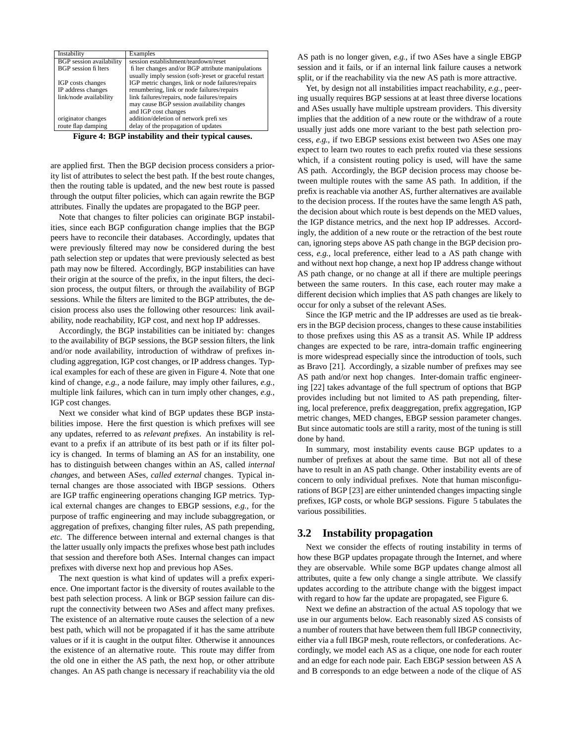| Examples                                               |
|--------------------------------------------------------|
| session establishment/teardown/reset                   |
| fi lter changes and/or BGP attribute manipulations     |
| usually imply session (soft-)reset or graceful restart |
| IGP metric changes, link or node failures/repairs      |
| renumbering, link or node failures/repairs             |
| link failures/repairs, node failures/repairs           |
| may cause BGP session availability changes             |
| and IGP cost changes                                   |
| addition/deletion of network prefixes                  |
| delay of the propagation of updates                    |
|                                                        |

**Figure 4: BGP instability and their typical causes.**

are applied first. Then the BGP decision process considers a priority list of attributes to select the best path. If the best route changes, then the routing table is updated, and the new best route is passed through the output filter policies, which can again rewrite the BGP attributes. Finally the updates are propagated to the BGP peer.

Note that changes to filter policies can originate BGP instabilities, since each BGP configuration change implies that the BGP peers have to reconcile their databases. Accordingly, updates that were previously filtered may now be considered during the best path selection step or updates that were previously selected as best path may now be filtered. Accordingly, BGP instabilities can have their origin at the source of the prefix, in the input filters, the decision process, the output filters, or through the availability of BGP sessions. While the filters are limited to the BGP attributes, the decision process also uses the following other resources: link availability, node reachability, IGP cost, and next hop IP addresses.

Accordingly, the BGP instabilities can be initiated by: changes to the availability of BGP sessions, the BGP session filters, the link and/or node availability, introduction of withdraw of prefixes including aggregation, IGP cost changes, or IP address changes. Typical examples for each of these are given in Figure 4. Note that one kind of change, *e.g.,* a node failure, may imply other failures, *e.g.,* multiple link failures, which can in turn imply other changes, *e.g.,* IGP cost changes.

Next we consider what kind of BGP updates these BGP instabilities impose. Here the first question is which prefixes will see any updates, referred to as *relevant prefixes*. An instability is relevant to a prefix if an attribute of its best path or if its filter policy is changed. In terms of blaming an AS for an instability, one has to distinguish between changes within an AS, called *internal changes*, and between ASes, *called external* changes. Typical internal changes are those associated with IBGP sessions. Others are IGP traffic engineering operations changing IGP metrics. Typical external changes are changes to EBGP sessions, *e.g.,* for the purpose of traffic engineering and may include subaggregation, or aggregation of prefixes, changing filter rules, AS path prepending, *etc.* The difference between internal and external changes is that the latter usually only impacts the prefixes whose best path includes that session and therefore both ASes. Internal changes can impact prefixes with diverse next hop and previous hop ASes.

The next question is what kind of updates will a prefix experience. One important factor is the diversity of routes available to the best path selection process. A link or BGP session failure can disrupt the connectivity between two ASes and affect many prefixes. The existence of an alternative route causes the selection of a new best path, which will not be propagated if it has the same attribute values or if it is caught in the output filter. Otherwise it announces the existence of an alternative route. This route may differ from the old one in either the AS path, the next hop, or other attribute changes. An AS path change is necessary if reachability via the old AS path is no longer given, *e.g.,* if two ASes have a single EBGP session and it fails, or if an internal link failure causes a network split, or if the reachability via the new AS path is more attractive.

Yet, by design not all instabilities impact reachability, *e.g.,* peering usually requires BGP sessions at at least three diverse locations and ASes usually have multiple upstream providers. This diversity implies that the addition of a new route or the withdraw of a route usually just adds one more variant to the best path selection process, *e.g.,* if two EBGP sessions exist between two ASes one may expect to learn two routes to each prefix routed via these sessions which, if a consistent routing policy is used, will have the same AS path. Accordingly, the BGP decision process may choose between multiple routes with the same AS path. In addition, if the prefix is reachable via another AS, further alternatives are available to the decision process. If the routes have the same length AS path, the decision about which route is best depends on the MED values, the IGP distance metrics, and the next hop IP addresses. Accordingly, the addition of a new route or the retraction of the best route can, ignoring steps above AS path change in the BGP decision process, *e.g.,* local preference, either lead to a AS path change with and without next hop change, a next hop IP address change without AS path change, or no change at all if there are multiple peerings between the same routers. In this case, each router may make a different decision which implies that AS path changes are likely to occur for only a subset of the relevant ASes.

Since the IGP metric and the IP addresses are used as tie breakers in the BGP decision process, changes to these cause instabilities to those prefixes using this AS as a transit AS. While IP address changes are expected to be rare, intra-domain traffic engineering is more widespread especially since the introduction of tools, such as Bravo [21]. Accordingly, a sizable number of prefixes may see AS path and/or next hop changes. Inter-domain traffic engineering [22] takes advantage of the full spectrum of options that BGP provides including but not limited to AS path prepending, filtering, local preference, prefix deaggregation, prefix aggregation, IGP metric changes, MED changes, EBGP session parameter changes. But since automatic tools are still a rarity, most of the tuning is still done by hand.

In summary, most instability events cause BGP updates to a number of prefixes at about the same time. But not all of these have to result in an AS path change. Other instability events are of concern to only individual prefixes. Note that human misconfigurations of BGP [23] are either unintended changes impacting single prefixes, IGP costs, or whole BGP sessions. Figure 5 tabulates the various possibilities.

#### **3.2 Instability propagation**

Next we consider the effects of routing instability in terms of how these BGP updates propagate through the Internet, and where they are observable. While some BGP updates change almost all attributes, quite a few only change a single attribute. We classify updates according to the attribute change with the biggest impact with regard to how far the update are propagated, see Figure 6.

Next we define an abstraction of the actual AS topology that we use in our arguments below. Each reasonably sized AS consists of a number of routers that have between them full IBGP connectivity, either via a full IBGP mesh, route reflectors, or confederations. Accordingly, we model each AS as a clique, one node for each router and an edge for each node pair. Each EBGP session between AS A and B corresponds to an edge between a node of the clique of AS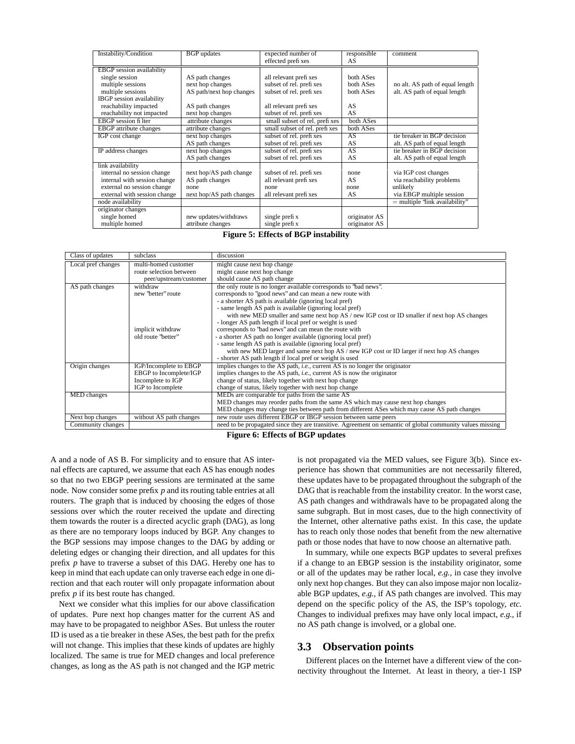| Instability/Condition            | <b>BGP</b> updates       | expected number of<br>effected prefixes | responsible<br>AS | comment                           |
|----------------------------------|--------------------------|-----------------------------------------|-------------------|-----------------------------------|
| <b>EBGP</b> session availability |                          |                                         |                   |                                   |
| single session                   | AS path changes          | all relevant prefixes                   | both ASes         |                                   |
| multiple sessions                | next hop changes         | subset of rel. prefixes                 | both ASes         | no alt. AS path of equal length   |
| multiple sessions                | AS path/next hop changes | subset of rel. prefixes                 | both ASes         | alt. AS path of equal length      |
| <b>IBGP</b> session availability |                          |                                         |                   |                                   |
| reachability impacted            | AS path changes          | all relevant prefixes                   | AS                |                                   |
| reachability not impacted        | next hop changes         | subset of rel. prefixes                 | AS                |                                   |
| EBGP session filter              | attribute changes        | small subset of rel. prefixes           | both ASes         |                                   |
| <b>EBGP</b> attribute changes    | attribute changes        | small subset of rel. prefixes           | both ASes         |                                   |
| IGP cost change                  | next hop changes         | subset of rel. prefixes                 | AS                | tie breaker in BGP decision       |
|                                  | AS path changes          | subset of rel. prefixes                 | AS                | alt. AS path of equal length      |
| IP address changes               | next hop changes         | subset of rel. prefixes                 | AS                | tie breaker in BGP decision       |
|                                  | AS path changes          | subset of rel. prefixes                 | AS                | alt. AS path of equal length      |
| link availability                |                          |                                         |                   |                                   |
| internal no session change       | next hop/AS path change  | subset of rel. prefixes                 | none              | via IGP cost changes              |
| internal with session change     | AS path changes          | all relevant prefixes                   | AS                | via reachability problems         |
| external no session change       | none                     | none                                    | none              | unlikely                          |
| external with session change     | next hop/AS path changes | all relevant prefixes                   | AS                | via EBGP multiple session         |
| node availability                |                          |                                         |                   | $=$ multiple 'link availability'' |
| originator changes               |                          |                                         |                   |                                   |
| single homed                     | new updates/withdraws    | single prefix                           | originator AS     |                                   |
| multiple homed                   | attribute changes        | single prefix                           | originator AS     |                                   |

**Figure 5: Effects of BGP instability**

| Class of updates   | subclass                | discussion                                                                                                |
|--------------------|-------------------------|-----------------------------------------------------------------------------------------------------------|
| Local pref changes | multi-homed customer    | might cause next hop change                                                                               |
|                    | route selection between | might cause next hop change                                                                               |
|                    | peer/upstream/customer  | should cause AS path change                                                                               |
| AS path changes    | withdraw                | the only route is no longer available corresponds to 'bad news'.                                          |
|                    | new 'better' route      | corresponds to "good news" and can mean a new route with                                                  |
|                    |                         | - a shorter AS path is available (ignoring local pref)                                                    |
|                    |                         | - same length AS path is available (ignoring local pref)                                                  |
|                    |                         | with new MED smaller and same next hop AS / new IGP cost or ID smaller if next hop AS changes             |
|                    |                         | - longer AS path length if local pref or weight is used                                                   |
|                    | implicit withdraw       | corresponds to 'bad news' and can mean the route with                                                     |
|                    | old route 'better'      | - a shorter AS path no longer available (ignoring local pref)                                             |
|                    |                         | - same length AS path is available (ignoring local pref)                                                  |
|                    |                         | with new MED larger and same next hop AS / new IGP cost or ID larger if next hop AS changes               |
|                    |                         | - shorter AS path length if local pref or weight is used                                                  |
| Origin changes     | IGP/Incomplete to EBGP  | implies changes to the AS path, <i>i.e.</i> , current AS is no longer the originator                      |
|                    | EBGP to Incomplete/IGP  | implies changes to the AS path, <i>i.e.</i> , current AS is now the originator                            |
|                    | Incomplete to IGP       | change of status, likely together with next hop change                                                    |
|                    | IGP to Incomplete       | change of status, likely together with next hop change                                                    |
| MED changes        |                         | MEDs are comparable for paths from the same AS                                                            |
|                    |                         | MED changes may reorder paths from the same AS which may cause next hop changes                           |
|                    |                         | MED changes may change ties between path from different ASes which may cause AS path changes              |
| Next hop changes   | without AS path changes | new route uses different EBGP or IBGP session between same peers                                          |
| Community changes  |                         | need to be propagated since they are transitive. Agreement on semantic of global community values missing |

**Figure 6: Effects of BGP updates**

A and a node of AS B. For simplicity and to ensure that AS internal effects are captured, we assume that each AS has enough nodes so that no two EBGP peering sessions are terminated at the same node. Now consider some prefix *p* and its routing table entries at all routers. The graph that is induced by choosing the edges of those sessions over which the router received the update and directing them towards the router is a directed acyclic graph (DAG), as long as there are no temporary loops induced by BGP. Any changes to the BGP sessions may impose changes to the DAG by adding or deleting edges or changing their direction, and all updates for this prefix *p* have to traverse a subset of this DAG. Hereby one has to keep in mind that each update can only traverse each edge in one direction and that each router will only propagate information about prefix *p* if its best route has changed.

Next we consider what this implies for our above classification of updates. Pure next hop changes matter for the current AS and may have to be propagated to neighbor ASes. But unless the router ID is used as a tie breaker in these ASes, the best path for the prefix will not change. This implies that these kinds of updates are highly localized. The same is true for MED changes and local preference changes, as long as the AS path is not changed and the IGP metric

is not propagated via the MED values, see Figure 3(b). Since experience has shown that communities are not necessarily filtered, these updates have to be propagated throughout the subgraph of the DAG that is reachable from the instability creator. In the worst case, AS path changes and withdrawals have to be propagated along the same subgraph. But in most cases, due to the high connectivity of the Internet, other alternative paths exist. In this case, the update has to reach only those nodes that benefit from the new alternative path or those nodes that have to now choose an alternative path.

In summary, while one expects BGP updates to several prefixes if a change to an EBGP session is the instability originator, some or all of the updates may be rather local, *e.g.,* in case they involve only next hop changes. But they can also impose major non localizable BGP updates, *e.g.,* if AS path changes are involved. This may depend on the specific policy of the AS, the ISP's topology, *etc.* Changes to individual prefixes may have only local impact, *e.g.,* if no AS path change is involved, or a global one.

#### **3.3 Observation points**

Different places on the Internet have a different view of the connectivity throughout the Internet. At least in theory, a tier-1 ISP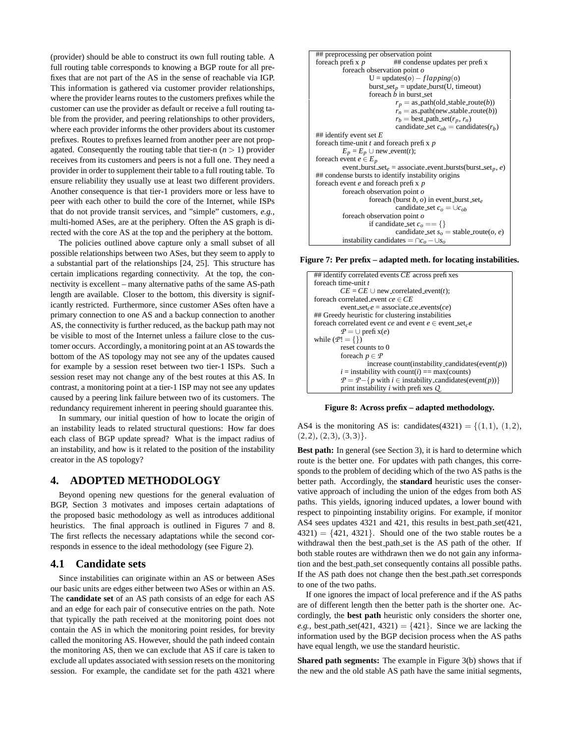(provider) should be able to construct its own full routing table. A full routing table corresponds to knowing a BGP route for all prefixes that are not part of the AS in the sense of reachable via IGP. This information is gathered via customer provider relationships, where the provider learns routes to the customers prefixes while the customer can use the provider as default or receive a full routing table from the provider, and peering relationships to other providers, where each provider informs the other providers about its customer prefixes. Routes to prefixes learned from another peer are not propagated. Consequently the routing table that tier-n  $(n > 1)$  provider receives from its customers and peers is not a full one. They need a provider in order to supplement their table to a full routing table. To ensure reliability they usually use at least two different providers. Another consequence is that tier-1 providers more or less have to peer with each other to build the core of the Internet, while ISPs that do not provide transit services, and "simple" customers, *e.g.,* multi-homed ASes, are at the periphery. Often the AS graph is directed with the core AS at the top and the periphery at the bottom.

The policies outlined above capture only a small subset of all possible relationships between two ASes, but they seem to apply to a substantial part of the relationships [24, 25]. This structure has certain implications regarding connectivity. At the top, the connectivity is excellent – many alternative paths of the same AS-path length are available. Closer to the bottom, this diversity is significantly restricted. Furthermore, since customer ASes often have a primary connection to one AS and a backup connection to another AS, the connectivity is further reduced, as the backup path may not be visible to most of the Internet unless a failure close to the customer occurs. Accordingly, a monitoring point at an AS towards the bottom of the AS topology may not see any of the updates caused for example by a session reset between two tier-1 ISPs. Such a session reset may not change any of the best routes at this AS. In contrast, a monitoring point at a tier-1 ISP may not see any updates caused by a peering link failure between two of its customers. The redundancy requirement inherent in peering should guarantee this.

In summary, our initial question of how to locate the origin of an instability leads to related structural questions: How far does each class of BGP update spread? What is the impact radius of an instability, and how is it related to the position of the instability creator in the AS topology?

#### **4. ADOPTED METHODOLOGY**

Beyond opening new questions for the general evaluation of BGP, Section 3 motivates and imposes certain adaptations of the proposed basic methodology as well as introduces additional heuristics. The final approach is outlined in Figures 7 and 8. The first reflects the necessary adaptations while the second corresponds in essence to the ideal methodology (see Figure 2).

#### **4.1 Candidate sets**

Since instabilities can originate within an AS or between ASes our basic units are edges either between two ASes or within an AS. The **candidate set** of an AS path consists of an edge for each AS and an edge for each pair of consecutive entries on the path. Note that typically the path received at the monitoring point does not contain the AS in which the monitoring point resides, for brevity called the monitoring AS. However, should the path indeed contain the monitoring AS, then we can exclude that AS if care is taken to exclude all updates associated with session resets on the monitoring session. For example, the candidate set for the path 4321 where



**Figure 7: Per prefix – adapted meth. for locating instabilities.**

| ## identify correlated events CE across prefixes                            |
|-----------------------------------------------------------------------------|
| foreach time-unit t                                                         |
| $CE = CE \cup new correlated event(t);$                                     |
| for each correlated event $ce \in CE$                                       |
| event_set <sub>c</sub> e = associate_ce_events(ce)                          |
| ## Greedy heuristic for clustering instabilities                            |
| for each correlated event ce and event $e \in$ event set $e$                |
| $P = \cup$ prefix(e)                                                        |
| while $(P! = \{\})$                                                         |
| reset counts to 0                                                           |
| foreach $p \in \mathcal{P}$                                                 |
| increase count(instability_candidates(event( $p$ ))                         |
| $i =$ instability with count(i) == max(counts)                              |
| $P = P - \{p \text{ with } i \in \text{instability candidates}(event(p))\}$ |
| print instability $i$ with prefixes $Q_i$                                   |

**Figure 8: Across prefix – adapted methodology.**

AS4 is the monitoring AS is: candidates(4321) =  $\{(1,1), (1,2),$  $(2,2), (2,3), (3,3)\}.$ 

**Best path:** In general (see Section 3), it is hard to determine which route is the better one. For updates with path changes, this corresponds to the problem of deciding which of the two AS paths is the better path. Accordingly, the **standard** heuristic uses the conservative approach of including the union of the edges from both AS paths. This yields, ignoring induced updates, a lower bound with respect to pinpointing instability origins. For example, if monitor AS4 sees updates 4321 and 421, this results in best path set(421,  $4321$ ) = {421, 4321}. Should one of the two stable routes be a withdrawal then the best path set is the AS path of the other. If both stable routes are withdrawn then we do not gain any information and the best path set consequently contains all possible paths. If the AS path does not change then the best path set corresponds to one of the two paths.

If one ignores the impact of local preference and if the AS paths are of different length then the better path is the shorter one. Accordingly, the **best path** heuristic only considers the shorter one, *e.g.,* best path set(421, 4321) =  $\{421\}$ . Since we are lacking the information used by the BGP decision process when the AS paths have equal length, we use the standard heuristic.

**Shared path segments:** The example in Figure 3(b) shows that if the new and the old stable AS path have the same initial segments,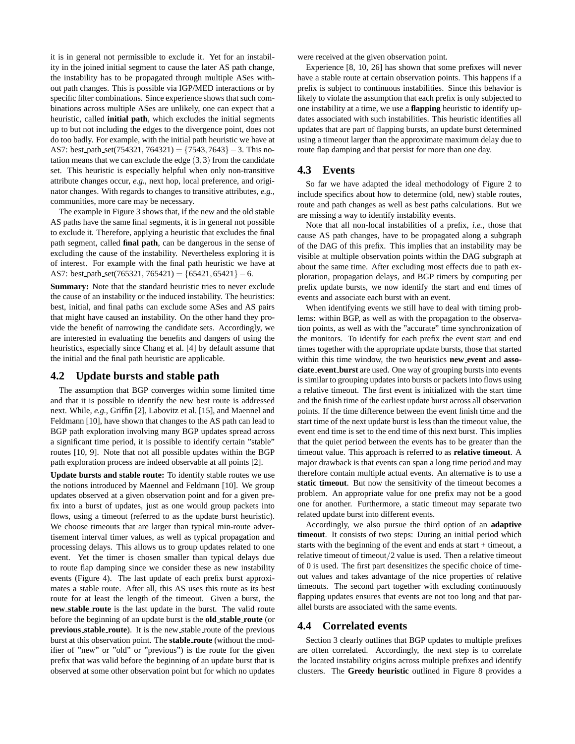it is in general not permissible to exclude it. Yet for an instability in the joined initial segment to cause the later AS path change, the instability has to be propagated through multiple ASes without path changes. This is possible via IGP/MED interactions or by specific filter combinations. Since experience shows that such combinations across multiple ASes are unlikely, one can expect that a heuristic, called **initial path**, which excludes the initial segments up to but not including the edges to the divergence point, does not do too badly. For example, with the initial path heuristic we have at AS7: best path set(754321, 764321) = {7543,7643}−3. This notation means that we can exclude the edge  $(3,3)$  from the candidate set. This heuristic is especially helpful when only non-transitive attribute changes occur, *e.g.,* next hop, local preference, and originator changes. With regards to changes to transitive attributes, *e.g.,* communities, more care may be necessary.

The example in Figure 3 shows that, if the new and the old stable AS paths have the same final segments, it is in general not possible to exclude it. Therefore, applying a heuristic that excludes the final path segment, called **final path**, can be dangerous in the sense of excluding the cause of the instability. Nevertheless exploring it is of interest. For example with the final path heuristic we have at AS7: best\_path\_set(765321, 765421) =  ${65421, 65421}$  - 6.

**Summary:** Note that the standard heuristic tries to never exclude the cause of an instability or the induced instability. The heuristics: best, initial, and final paths can exclude some ASes and AS pairs that might have caused an instability. On the other hand they provide the benefit of narrowing the candidate sets. Accordingly, we are interested in evaluating the benefits and dangers of using the heuristics, especially since Chang et al. [4] by default assume that the initial and the final path heuristic are applicable.

#### **4.2 Update bursts and stable path**

The assumption that BGP converges within some limited time and that it is possible to identify the new best route is addressed next. While, *e.g.,* Griffin [2], Labovitz et al. [15], and Maennel and Feldmann [10], have shown that changes to the AS path can lead to BGP path exploration involving many BGP updates spread across a significant time period, it is possible to identify certain "stable" routes [10, 9]. Note that not all possible updates within the BGP path exploration process are indeed observable at all points [2].

**Update bursts and stable route:** To identify stable routes we use the notions introduced by Maennel and Feldmann [10]. We group updates observed at a given observation point and for a given prefix into a burst of updates, just as one would group packets into flows, using a timeout (referred to as the update burst heuristic). We choose timeouts that are larger than typical min-route advertisement interval timer values, as well as typical propagation and processing delays. This allows us to group updates related to one event. Yet the timer is chosen smaller than typical delays due to route flap damping since we consider these as new instability events (Figure 4). The last update of each prefix burst approximates a stable route. After all, this AS uses this route as its best route for at least the length of the timeout. Given a burst, the **new stable route** is the last update in the burst. The valid route before the beginning of an update burst is the **old stable route** (or **previous stable route**). It is the new stable route of the previous burst at this observation point. The **stable route** (without the modifier of "new" or "old" or "previous") is the route for the given prefix that was valid before the beginning of an update burst that is observed at some other observation point but for which no updates

were received at the given observation point.

Experience [8, 10, 26] has shown that some prefixes will never have a stable route at certain observation points. This happens if a prefix is subject to continuous instabilities. Since this behavior is likely to violate the assumption that each prefix is only subjected to one instability at a time, we use a **flapping** heuristic to identify updates associated with such instabilities. This heuristic identifies all updates that are part of flapping bursts, an update burst determined using a timeout larger than the approximate maximum delay due to route flap damping and that persist for more than one day.

# **4.3 Events**

So far we have adapted the ideal methodology of Figure 2 to include specifics about how to determine (old, new) stable routes, route and path changes as well as best paths calculations. But we are missing a way to identify instability events.

Note that all non-local instabilities of a prefix, *i.e.,* those that cause AS path changes, have to be propagated along a subgraph of the DAG of this prefix. This implies that an instability may be visible at multiple observation points within the DAG subgraph at about the same time. After excluding most effects due to path exploration, propagation delays, and BGP timers by computing per prefix update bursts, we now identify the start and end times of events and associate each burst with an event.

When identifying events we still have to deal with timing problems: within BGP, as well as with the propagation to the observation points, as well as with the "accurate" time synchronization of the monitors. To identify for each prefix the event start and end times together with the appropriate update bursts, those that started within this time window, the two heuristics **new event** and **associate event burst** are used. One way of grouping bursts into events is similar to grouping updates into bursts or packets into flows using a relative timeout. The first event is initialized with the start time and the finish time of the earliest update burst across all observation points. If the time difference between the event finish time and the start time of the next update burst is less than the timeout value, the event end time is set to the end time of this next burst. This implies that the quiet period between the events has to be greater than the timeout value. This approach is referred to as **relative timeout**. A major drawback is that events can span a long time period and may therefore contain multiple actual events. An alternative is to use a **static timeout**. But now the sensitivity of the timeout becomes a problem. An appropriate value for one prefix may not be a good one for another. Furthermore, a static timeout may separate two related update burst into different events.

Accordingly, we also pursue the third option of an **adaptive timeout**. It consists of two steps: During an initial period which starts with the beginning of the event and ends at start + timeout, a relative timeout of timeout/2 value is used. Then a relative timeout of 0 is used. The first part desensitizes the specific choice of timeout values and takes advantage of the nice properties of relative timeouts. The second part together with excluding continuously flapping updates ensures that events are not too long and that parallel bursts are associated with the same events.

## **4.4 Correlated events**

Section 3 clearly outlines that BGP updates to multiple prefixes are often correlated. Accordingly, the next step is to correlate the located instability origins across multiple prefixes and identify clusters. The **Greedy heuristic** outlined in Figure 8 provides a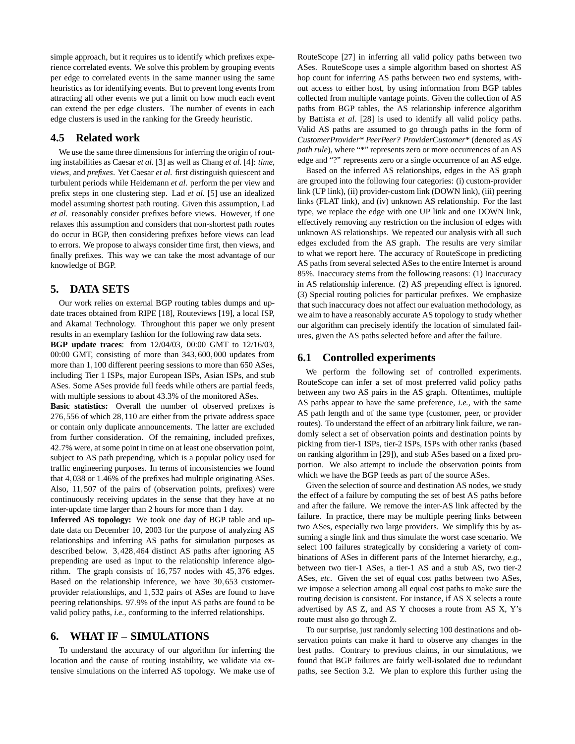simple approach, but it requires us to identify which prefixes experience correlated events. We solve this problem by grouping events per edge to correlated events in the same manner using the same heuristics as for identifying events. But to prevent long events from attracting all other events we put a limit on how much each event can extend the per edge clusters. The number of events in each edge clusters is used in the ranking for the Greedy heuristic.

## **4.5 Related work**

We use the same three dimensions for inferring the origin of routing instabilities as Caesar *et al.* [3] as well as Chang *et al.* [4]: *time, views,* and *prefixes*. Yet Caesar *et al.* first distinguish quiescent and turbulent periods while Heidemann *et al.* perform the per view and prefix steps in one clustering step. Lad *et al.* [5] use an idealized model assuming shortest path routing. Given this assumption, Lad *et al.* reasonably consider prefixes before views. However, if one relaxes this assumption and considers that non-shortest path routes do occur in BGP, then considering prefixes before views can lead to errors. We propose to always consider time first, then views, and finally prefixes. This way we can take the most advantage of our knowledge of BGP.

# **5. DATA SETS**

Our work relies on external BGP routing tables dumps and update traces obtained from RIPE [18], Routeviews [19], a local ISP, and Akamai Technology. Throughout this paper we only present results in an exemplary fashion for the following raw data sets.

**BGP update traces**: from 12/04/03, 00:00 GMT to 12/16/03, 00:00 GMT, consisting of more than 343,600,000 updates from more than 1,100 different peering sessions to more than 650 ASes, including Tier 1 ISPs, major European ISPs, Asian ISPs, and stub ASes. Some ASes provide full feeds while others are partial feeds, with multiple sessions to about 43.3% of the monitored ASes.

**Basic statistics:** Overall the number of observed prefixes is 276,556 of which 28,110 are either from the private address space or contain only duplicate announcements. The latter are excluded from further consideration. Of the remaining, included prefixes, 42.7% were, at some point in time on at least one observation point, subject to AS path prepending, which is a popular policy used for traffic engineering purposes. In terms of inconsistencies we found that 4,038 or 1.46% of the prefixes had multiple originating ASes. Also, 11,507 of the pairs of (observation points, prefixes) were continuously receiving updates in the sense that they have at no inter-update time larger than 2 hours for more than 1 day.

**Inferred AS topology:** We took one day of BGP table and update data on December 10, 2003 for the purpose of analyzing AS relationships and inferring AS paths for simulation purposes as described below. 3,428,464 distinct AS paths after ignoring AS prepending are used as input to the relationship inference algorithm. The graph consists of 16,757 nodes with 45,376 edges. Based on the relationship inference, we have 30,653 customerprovider relationships, and 1,532 pairs of ASes are found to have peering relationships. 97.9% of the input AS paths are found to be valid policy paths, *i.e.,* conforming to the inferred relationships.

# **6. WHAT IF – SIMULATIONS**

To understand the accuracy of our algorithm for inferring the location and the cause of routing instability, we validate via extensive simulations on the inferred AS topology. We make use of RouteScope [27] in inferring all valid policy paths between two ASes. RouteScope uses a simple algorithm based on shortest AS hop count for inferring AS paths between two end systems, without access to either host, by using information from BGP tables collected from multiple vantage points. Given the collection of AS paths from BGP tables, the AS relationship inference algorithm by Battista *et al.* [28] is used to identify all valid policy paths. Valid AS paths are assumed to go through paths in the form of *CustomerProvider\* PeerPeer? ProviderCustomer\** (denoted as *AS path rule*), where "\*" represents zero or more occurrences of an AS edge and "?" represents zero or a single occurrence of an AS edge.

Based on the inferred AS relationships, edges in the AS graph are grouped into the following four categories: (i) custom-provider link (UP link), (ii) provider-custom link (DOWN link), (iii) peering links (FLAT link), and (iv) unknown AS relationship. For the last type, we replace the edge with one UP link and one DOWN link, effectively removing any restriction on the inclusion of edges with unknown AS relationships. We repeated our analysis with all such edges excluded from the AS graph. The results are very similar to what we report here. The accuracy of RouteScope in predicting AS paths from several selected ASes to the entire Internet is around 85%. Inaccuracy stems from the following reasons: (1) Inaccuracy in AS relationship inference. (2) AS prepending effect is ignored. (3) Special routing policies for particular prefixes. We emphasize that such inaccuracy does not affect our evaluation methodology, as we aim to have a reasonably accurate AS topology to study whether our algorithm can precisely identify the location of simulated failures, given the AS paths selected before and after the failure.

# **6.1 Controlled experiments**

We perform the following set of controlled experiments. RouteScope can infer a set of most preferred valid policy paths between any two AS pairs in the AS graph. Oftentimes, multiple AS paths appear to have the same preference, *i.e.,* with the same AS path length and of the same type (customer, peer, or provider routes). To understand the effect of an arbitrary link failure, we randomly select a set of observation points and destination points by picking from tier-1 ISPs, tier-2 ISPs, ISPs with other ranks (based on ranking algorithm in [29]), and stub ASes based on a fixed proportion. We also attempt to include the observation points from which we have the BGP feeds as part of the source ASes.

Given the selection of source and destination AS nodes, we study the effect of a failure by computing the set of best AS paths before and after the failure. We remove the inter-AS link affected by the failure. In practice, there may be multiple peering links between two ASes, especially two large providers. We simplify this by assuming a single link and thus simulate the worst case scenario. We select 100 failures strategically by considering a variety of combinations of ASes in different parts of the Internet hierarchy, *e.g.,* between two tier-1 ASes, a tier-1 AS and a stub AS, two tier-2 ASes, *etc.* Given the set of equal cost paths between two ASes, we impose a selection among all equal cost paths to make sure the routing decision is consistent. For instance, if AS X selects a route advertised by AS Z, and AS Y chooses a route from AS X, Y's route must also go through Z.

To our surprise, just randomly selecting 100 destinations and observation points can make it hard to observe any changes in the best paths. Contrary to previous claims, in our simulations, we found that BGP failures are fairly well-isolated due to redundant paths, see Section 3.2. We plan to explore this further using the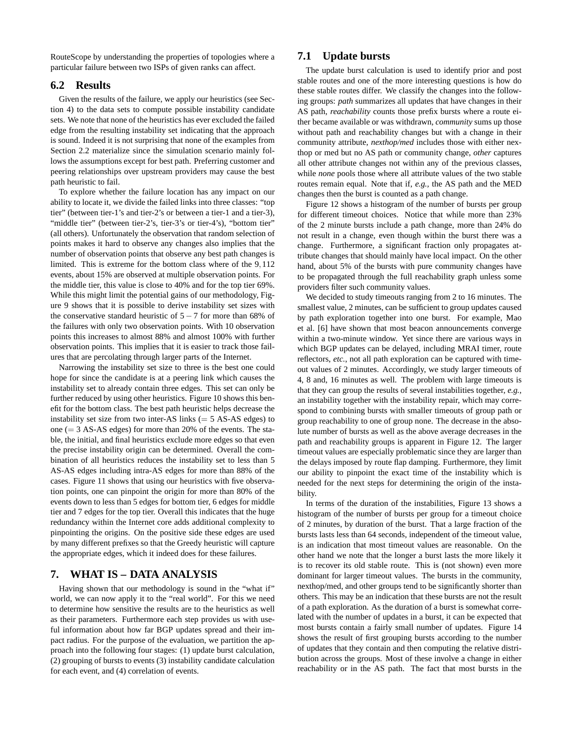RouteScope by understanding the properties of topologies where a particular failure between two ISPs of given ranks can affect.

## **6.2 Results**

Given the results of the failure, we apply our heuristics (see Section 4) to the data sets to compute possible instability candidate sets. We note that none of the heuristics has ever excluded the failed edge from the resulting instability set indicating that the approach is sound. Indeed it is not surprising that none of the examples from Section 2.2 materialize since the simulation scenario mainly follows the assumptions except for best path. Preferring customer and peering relationships over upstream providers may cause the best path heuristic to fail.

To explore whether the failure location has any impact on our ability to locate it, we divide the failed links into three classes: "top tier" (between tier-1's and tier-2's or between a tier-1 and a tier-3), "middle tier" (between tier-2's, tier-3's or tier-4's), "bottom tier" (all others). Unfortunately the observation that random selection of points makes it hard to observe any changes also implies that the number of observation points that observe any best path changes is limited. This is extreme for the bottom class where of the 9,112 events, about 15% are observed at multiple observation points. For the middle tier, this value is close to 40% and for the top tier 69%. While this might limit the potential gains of our methodology, Figure 9 shows that it is possible to derive instability set sizes with the conservative standard heuristic of  $5 - 7$  for more than 68% of the failures with only two observation points. With 10 observation points this increases to almost 88% and almost 100% with further observation points. This implies that it is easier to track those failures that are percolating through larger parts of the Internet.

Narrowing the instability set size to three is the best one could hope for since the candidate is at a peering link which causes the instability set to already contain three edges. This set can only be further reduced by using other heuristics. Figure 10 shows this benefit for the bottom class. The best path heuristic helps decrease the instability set size from two inter-AS links  $(= 5 \text{ AS-AS edges})$  to one  $(= 3 \text{ AS-AS edges})$  for more than 20% of the events. The stable, the initial, and final heuristics exclude more edges so that even the precise instability origin can be determined. Overall the combination of all heuristics reduces the instability set to less than 5 AS-AS edges including intra-AS edges for more than 88% of the cases. Figure 11 shows that using our heuristics with five observation points, one can pinpoint the origin for more than 80% of the events down to less than 5 edges for bottom tier, 6 edges for middle tier and 7 edges for the top tier. Overall this indicates that the huge redundancy within the Internet core adds additional complexity to pinpointing the origins. On the positive side these edges are used by many different prefixes so that the Greedy heuristic will capture the appropriate edges, which it indeed does for these failures.

# **7. WHAT IS – DATA ANALYSIS**

Having shown that our methodology is sound in the "what if" world, we can now apply it to the "real world". For this we need to determine how sensitive the results are to the heuristics as well as their parameters. Furthermore each step provides us with useful information about how far BGP updates spread and their impact radius. For the purpose of the evaluation, we partition the approach into the following four stages: (1) update burst calculation, (2) grouping of bursts to events (3) instability candidate calculation for each event, and (4) correlation of events.

# **7.1 Update bursts**

The update burst calculation is used to identify prior and post stable routes and one of the more interesting questions is how do these stable routes differ. We classify the changes into the following groups: *path* summarizes all updates that have changes in their AS path, *reachability* counts those prefix bursts where a route either became available or was withdrawn, *community* sums up those without path and reachability changes but with a change in their community attribute, *nexthop/med* includes those with either nexthop or med but no AS path or community change, *other* captures all other attribute changes not within any of the previous classes, while *none* pools those where all attribute values of the two stable routes remain equal. Note that if, *e.g.,* the AS path and the MED changes then the burst is counted as a path change.

Figure 12 shows a histogram of the number of bursts per group for different timeout choices. Notice that while more than 23% of the 2 minute bursts include a path change, more than 24% do not result in a change, even though within the burst there was a change. Furthermore, a significant fraction only propagates attribute changes that should mainly have local impact. On the other hand, about 5% of the bursts with pure community changes have to be propagated through the full reachability graph unless some providers filter such community values.

We decided to study timeouts ranging from 2 to 16 minutes. The smallest value, 2 minutes, can be sufficient to group updates caused by path exploration together into one burst. For example, Mao et al. [6] have shown that most beacon announcements converge within a two-minute window. Yet since there are various ways in which BGP updates can be delayed, including MRAI timer, route reflectors, *etc.*, not all path exploration can be captured with timeout values of 2 minutes. Accordingly, we study larger timeouts of 4, 8 and, 16 minutes as well. The problem with large timeouts is that they can group the results of several instabilities together, *e.g.,* an instability together with the instability repair, which may correspond to combining bursts with smaller timeouts of group path or group reachability to one of group none. The decrease in the absolute number of bursts as well as the above average decreases in the path and reachability groups is apparent in Figure 12. The larger timeout values are especially problematic since they are larger than the delays imposed by route flap damping. Furthermore, they limit our ability to pinpoint the exact time of the instability which is needed for the next steps for determining the origin of the instability.

In terms of the duration of the instabilities, Figure 13 shows a histogram of the number of bursts per group for a timeout choice of 2 minutes, by duration of the burst. That a large fraction of the bursts lasts less than 64 seconds, independent of the timeout value, is an indication that most timeout values are reasonable. On the other hand we note that the longer a burst lasts the more likely it is to recover its old stable route. This is (not shown) even more dominant for larger timeout values. The bursts in the community, nexthop/med, and other groups tend to be significantly shorter than others. This may be an indication that these bursts are not the result of a path exploration. As the duration of a burst is somewhat correlated with the number of updates in a burst, it can be expected that most bursts contain a fairly small number of updates. Figure 14 shows the result of first grouping bursts according to the number of updates that they contain and then computing the relative distribution across the groups. Most of these involve a change in either reachability or in the AS path. The fact that most bursts in the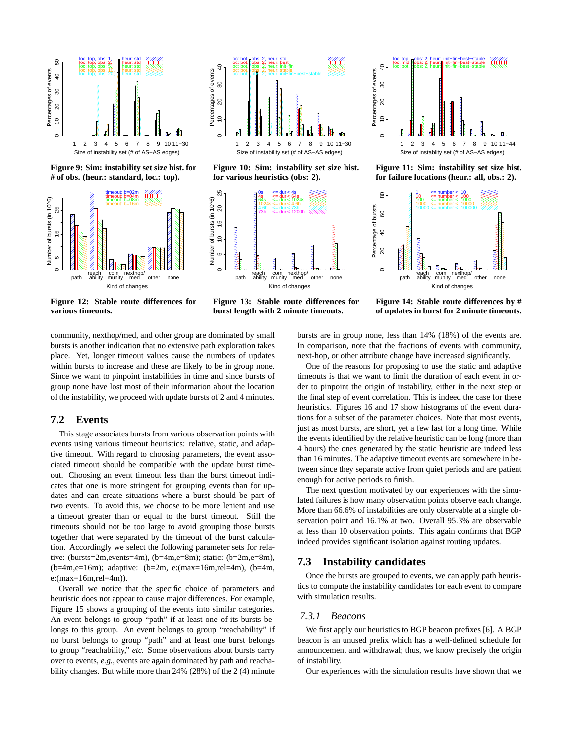

**Figure 9: Sim: instability set size hist. for # of obs. (heur.: standard, loc.: top).**



**Figure 12: Stable route differences for various timeouts.**



**Figure 10: Sim: instability set size hist. for various heuristics (obs: 2).**



**Figure 13: Stable route differences for burst length with 2 minute timeouts.**



**Figure 11: Sim: instability set size hist. for failure locations (heur.: all, obs.: 2).**



**Figure 14: Stable route differences by # of updates in burst for 2 minute timeouts.**

community, nexthop/med, and other group are dominated by small bursts is another indication that no extensive path exploration takes place. Yet, longer timeout values cause the numbers of updates within bursts to increase and these are likely to be in group none. Since we want to pinpoint instabilities in time and since bursts of group none have lost most of their information about the location of the instability, we proceed with update bursts of 2 and 4 minutes.

#### **7.2 Events**

This stage associates bursts from various observation points with events using various timeout heuristics: relative, static, and adaptive timeout. With regard to choosing parameters, the event associated timeout should be compatible with the update burst timeout. Choosing an event timeout less than the burst timeout indicates that one is more stringent for grouping events than for updates and can create situations where a burst should be part of two events. To avoid this, we choose to be more lenient and use a timeout greater than or equal to the burst timeout. Still the timeouts should not be too large to avoid grouping those bursts together that were separated by the timeout of the burst calculation. Accordingly we select the following parameter sets for relative: (bursts=2m,events=4m), (b=4m,e=8m); static: (b=2m,e=8m),  $(b=4m,e=16m)$ ; adaptive:  $(b=2m, e:(max=16m, rel=4m), (b=4m,$ e:(max=16m,rel=4m)).

Overall we notice that the specific choice of parameters and heuristic does not appear to cause major differences. For example, Figure 15 shows a grouping of the events into similar categories. An event belongs to group "path" if at least one of its bursts belongs to this group. An event belongs to group "reachability" if no burst belongs to group "path" and at least one burst belongs to group "reachability," *etc.* Some observations about bursts carry over to events, *e.g.,* events are again dominated by path and reachability changes. But while more than 24% (28%) of the 2 (4) minute

bursts are in group none, less than 14% (18%) of the events are. In comparison, note that the fractions of events with community, next-hop, or other attribute change have increased significantly.

One of the reasons for proposing to use the static and adaptive timeouts is that we want to limit the duration of each event in order to pinpoint the origin of instability, either in the next step or the final step of event correlation. This is indeed the case for these heuristics. Figures 16 and 17 show histograms of the event durations for a subset of the parameter choices. Note that most events, just as most bursts, are short, yet a few last for a long time. While the events identified by the relative heuristic can be long (more than 4 hours) the ones generated by the static heuristic are indeed less than 16 minutes. The adaptive timeout events are somewhere in between since they separate active from quiet periods and are patient enough for active periods to finish.

The next question motivated by our experiences with the simulated failures is how many observation points observe each change. More than 66.6% of instabilities are only observable at a single observation point and 16.1% at two. Overall 95.3% are observable at less than 10 observation points. This again confirms that BGP indeed provides significant isolation against routing updates.

## **7.3 Instability candidates**

Once the bursts are grouped to events, we can apply path heuristics to compute the instability candidates for each event to compare with simulation results.

#### *7.3.1 Beacons*

We first apply our heuristics to BGP beacon prefixes [6]. A BGP beacon is an unused prefix which has a well-defined schedule for announcement and withdrawal; thus, we know precisely the origin of instability.

Our experiences with the simulation results have shown that we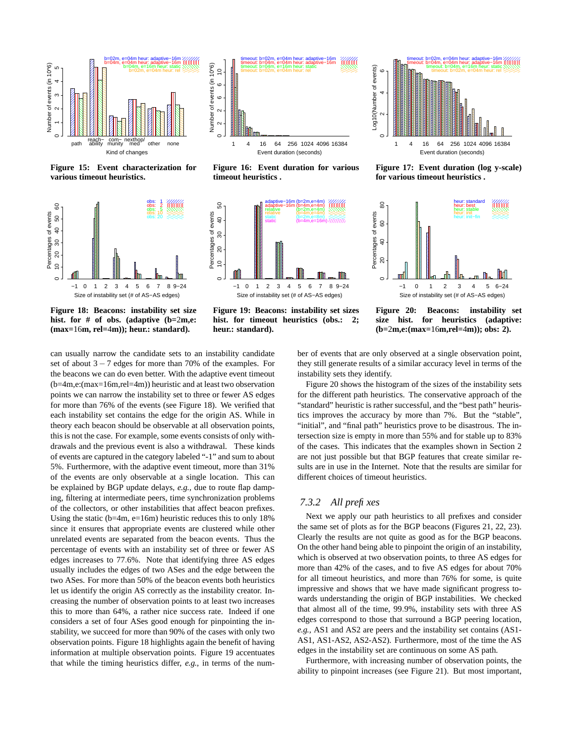

**Figure 15: Event characterization for various timeout heuristics.**



**Figure 18: Beacons: instability set size hist. for # of obs. (adaptive (b=**2**m,e: (max=**16**m, rel=**4**m)); heur.: standard).**





**Figure 16: Event duration for various timeout heuristics .**



**Figure 19: Beacons: instability set sizes hist. for timeout heuristics (obs.: 2; heur.: standard).**



**Figure 17: Event duration (log y-scale) for various timeout heuristics .**



**Figure 20: Beacons: instability set size hist. for heuristics (adaptive: (b=**2**m,e:(max=**16**m,rel=**4**m)); obs: 2).**

ber of events that are only observed at a single observation point, they still generate results of a similar accuracy level in terms of the instability sets they identify.

Figure 20 shows the histogram of the sizes of the instability sets for the different path heuristics. The conservative approach of the "standard" heuristic is rather successful, and the "best path" heuristics improves the accuracy by more than 7%. But the "stable", "initial", and "final path" heuristics prove to be disastrous. The intersection size is empty in more than 55% and for stable up to 83% of the cases. This indicates that the examples shown in Section 2 are not just possible but that BGP features that create similar results are in use in the Internet. Note that the results are similar for different choices of timeout heuristics.

#### *7.3.2 All prefixes*

Next we apply our path heuristics to all prefixes and consider the same set of plots as for the BGP beacons (Figures 21, 22, 23). Clearly the results are not quite as good as for the BGP beacons. On the other hand being able to pinpoint the origin of an instability, which is observed at two observation points, to three AS edges for more than 42% of the cases, and to five AS edges for about 70% for all timeout heuristics, and more than 76% for some, is quite impressive and shows that we have made significant progress towards understanding the origin of BGP instabilities. We checked that almost all of the time, 99.9%, instability sets with three AS edges correspond to those that surround a BGP peering location, *e.g.,* AS1 and AS2 are peers and the instability set contains (AS1- AS1, AS1-AS2, AS2-AS2). Furthermore, most of the time the AS edges in the instability set are continuous on some AS path.

Furthermore, with increasing number of observation points, the ability to pinpoint increases (see Figure 21). But most important,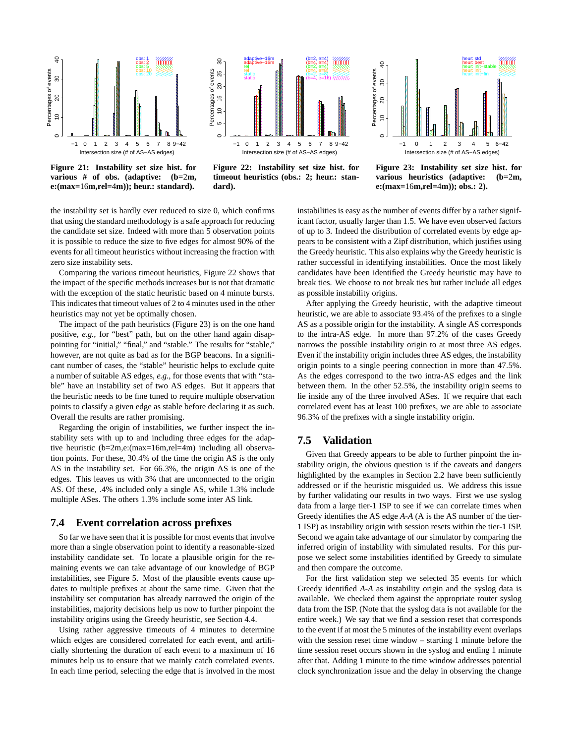

**Figure 21: Instability set size hist. for various # of obs. (adaptive: (b=**2**m, e:(max=**16**m,rel=**4**m)); heur.: standard).**



**Figure 22: Instability set size hist. for timeout heuristics (obs.: 2; heur.: standard).**



**Figure 23: Instability set size hist. for various heuristics (adaptive: (b=**2**m, e:(max=**16**m,rel=**4**m)); obs.: 2).**

the instability set is hardly ever reduced to size 0, which confirms that using the standard methodology is a safe approach for reducing the candidate set size. Indeed with more than 5 observation points it is possible to reduce the size to five edges for almost 90% of the events for all timeout heuristics without increasing the fraction with zero size instability sets.

Comparing the various timeout heuristics, Figure 22 shows that the impact of the specific methods increases but is not that dramatic with the exception of the static heuristic based on 4 minute bursts. This indicates that timeout values of 2 to 4 minutes used in the other heuristics may not yet be optimally chosen.

The impact of the path heuristics (Figure 23) is on the one hand positive, *e.g.,* for "best" path, but on the other hand again disappointing for "initial," "final," and "stable." The results for "stable," however, are not quite as bad as for the BGP beacons. In a significant number of cases, the "stable" heuristic helps to exclude quite a number of suitable AS edges, *e.g.,* for those events that with "stable" have an instability set of two AS edges. But it appears that the heuristic needs to be fine tuned to require multiple observation points to classify a given edge as stable before declaring it as such. Overall the results are rather promising.

Regarding the origin of instabilities, we further inspect the instability sets with up to and including three edges for the adaptive heuristic (b=2m,e:(max=16m,rel=4m) including all observation points. For these, 30.4% of the time the origin AS is the only AS in the instability set. For 66.3%, the origin AS is one of the edges. This leaves us with 3% that are unconnected to the origin AS. Of these, .4% included only a single AS, while 1.3% include multiple ASes. The others 1.3% include some inter AS link.

#### **7.4 Event correlation across prefixes**

So far we have seen that it is possible for most events that involve more than a single observation point to identify a reasonable-sized instability candidate set. To locate a plausible origin for the remaining events we can take advantage of our knowledge of BGP instabilities, see Figure 5. Most of the plausible events cause updates to multiple prefixes at about the same time. Given that the instability set computation has already narrowed the origin of the instabilities, majority decisions help us now to further pinpoint the instability origins using the Greedy heuristic, see Section 4.4.

Using rather aggressive timeouts of 4 minutes to determine which edges are considered correlated for each event, and artificially shortening the duration of each event to a maximum of 16 minutes help us to ensure that we mainly catch correlated events. In each time period, selecting the edge that is involved in the most instabilities is easy as the number of events differ by a rather significant factor, usually larger than 1.5. We have even observed factors of up to 3. Indeed the distribution of correlated events by edge appears to be consistent with a Zipf distribution, which justifies using the Greedy heuristic. This also explains why the Greedy heuristic is rather successful in identifying instabilities. Once the most likely candidates have been identified the Greedy heuristic may have to break ties. We choose to not break ties but rather include all edges as possible instability origins.

After applying the Greedy heuristic, with the adaptive timeout heuristic, we are able to associate 93.4% of the prefixes to a single AS as a possible origin for the instability. A single AS corresponds to the intra-AS edge. In more than 97.2% of the cases Greedy narrows the possible instability origin to at most three AS edges. Even if the instability origin includes three AS edges, the instability origin points to a single peering connection in more than 47.5%. As the edges correspond to the two intra-AS edges and the link between them. In the other 52.5%, the instability origin seems to lie inside any of the three involved ASes. If we require that each correlated event has at least 100 prefixes, we are able to associate 96.3% of the prefixes with a single instability origin.

#### **7.5 Validation**

Given that Greedy appears to be able to further pinpoint the instability origin, the obvious question is if the caveats and dangers highlighted by the examples in Section 2.2 have been sufficiently addressed or if the heuristic misguided us. We address this issue by further validating our results in two ways. First we use syslog data from a large tier-1 ISP to see if we can correlate times when Greedy identifies the AS edge *A*-*A* (A is the AS number of the tier-1 ISP) as instability origin with session resets within the tier-1 ISP. Second we again take advantage of our simulator by comparing the inferred origin of instability with simulated results. For this purpose we select some instabilities identified by Greedy to simulate and then compare the outcome.

For the first validation step we selected 35 events for which Greedy identified *A*-*A* as instability origin and the syslog data is available. We checked them against the appropriate router syslog data from the ISP. (Note that the syslog data is not available for the entire week.) We say that we find a session reset that corresponds to the event if at most the 5 minutes of the instability event overlaps with the session reset time window – starting 1 minute before the time session reset occurs shown in the syslog and ending 1 minute after that. Adding 1 minute to the time window addresses potential clock synchronization issue and the delay in observing the change